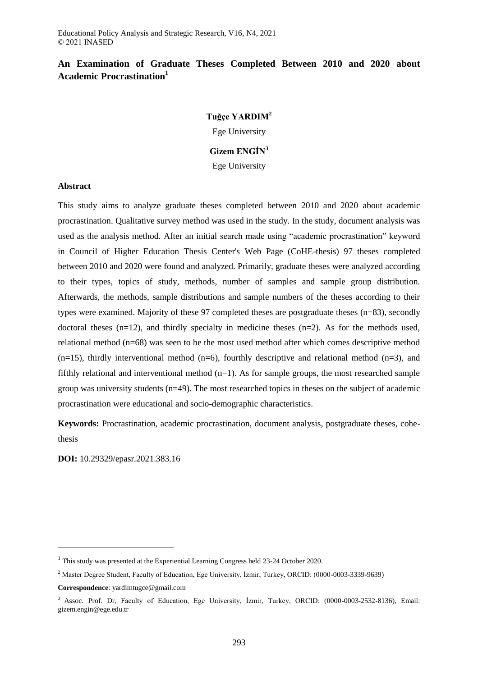#### **An Examination of Graduate Theses Completed Between 2010 and 2020 about Academic Procrastination<sup>1</sup>**

#### **Tuğçe YARDIM<sup>2</sup>**

Ege University

#### **Gizem ENGİN<sup>3</sup>**

Ege University

#### **Abstract**

This study aims to analyze graduate theses completed between 2010 and 2020 about academic procrastination. Qualitative survey method was used in the study. In the study, document analysis was used as the analysis method. After an initial search made using "academic procrastination" keyword in Council of Higher Education Thesis Center's Web Page (CoHE-thesis) 97 theses completed between 2010 and 2020 were found and analyzed. Primarily, graduate theses were analyzed according to their types, topics of study, methods, number of samples and sample group distribution. Afterwards, the methods, sample distributions and sample numbers of the theses according to their types were examined. Majority of these 97 completed theses are postgraduate theses (n=83), secondly doctoral theses (n=12), and thirdly specialty in medicine theses (n=2). As for the methods used, relational method (n=68) was seen to be the most used method after which comes descriptive method  $(n=15)$ , thirdly interventional method  $(n=6)$ , fourthly descriptive and relational method  $(n=3)$ , and fifthly relational and interventional method  $(n=1)$ . As for sample groups, the most researched sample group was university students (n=49). The most researched topics in theses on the subject of academic procrastination were educational and socio-demographic characteristics.

**Keywords:** Procrastination, academic procrastination, document analysis, postgraduate theses, cohethesis

**DOI:** 10.29329/epasr.2021.383.16

 $\overline{a}$ 

 $1$  This study was presented at the Experiential Learning Congress held 23-24 October 2020.

<sup>&</sup>lt;sup>2</sup> Master Degree Student, Faculty of Education, Ege University, İzmir, Turkey, ORCID: (0000-0003-3339-9639)

**Correspondence**: yardimtugce@gmail.com

<sup>&</sup>lt;sup>3</sup> Assoc. Prof. Dr, Faculty of Education, Ege University, İzmir, Turkey, ORCID: (0000-0003-2532-8136), Email: gizem.engin@ege.edu.tr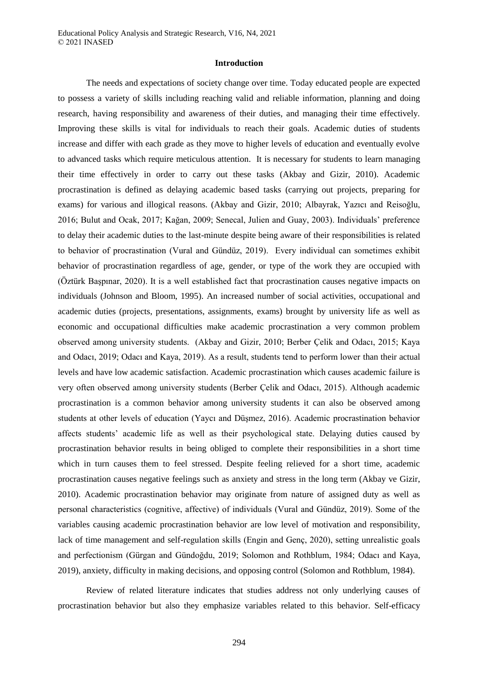#### **Introduction**

The needs and expectations of society change over time. Today educated people are expected to possess a variety of skills including reaching valid and reliable information, planning and doing research, having responsibility and awareness of their duties, and managing their time effectively. Improving these skills is vital for individuals to reach their goals. Academic duties of students increase and differ with each grade as they move to higher levels of education and eventually evolve to advanced tasks which require meticulous attention. It is necessary for students to learn managing their time effectively in order to carry out these tasks (Akbay and Gizir, 2010). Academic procrastination is defined as delaying academic based tasks (carrying out projects, preparing for exams) for various and illogical reasons. (Akbay and Gizir, 2010; Albayrak, Yazıcı and Reisoğlu, 2016; Bulut and Ocak, 2017; Kağan, 2009; Senecal, Julien and Guay, 2003). Individuals' preference to delay their academic duties to the last-minute despite being aware of their responsibilities is related to behavior of procrastination (Vural and Gündüz, 2019). Every individual can sometimes exhibit behavior of procrastination regardless of age, gender, or type of the work they are occupied with (Öztürk Başpınar, 2020). It is a well established fact that procrastination causes negative impacts on individuals (Johnson and Bloom, 1995). An increased number of social activities, occupational and academic duties (projects, presentations, assignments, exams) brought by university life as well as economic and occupational difficulties make academic procrastination a very common problem observed among university students. (Akbay and Gizir, 2010; Berber Çelik and Odacı, 2015; Kaya and Odacı, 2019; Odacı and Kaya, 2019). As a result, students tend to perform lower than their actual levels and have low academic satisfaction. Academic procrastination which causes academic failure is very often observed among university students (Berber Çelik and Odacı, 2015). Although academic procrastination is a common behavior among university students it can also be observed among students at other levels of education (Yaycı and Düşmez, 2016). Academic procrastination behavior affects students' academic life as well as their psychological state. Delaying duties caused by procrastination behavior results in being obliged to complete their responsibilities in a short time which in turn causes them to feel stressed. Despite feeling relieved for a short time, academic procrastination causes negative feelings such as anxiety and stress in the long term (Akbay ve Gizir, 2010). Academic procrastination behavior may originate from nature of assigned duty as well as personal characteristics (cognitive, affective) of individuals (Vural and Gündüz, 2019). Some of the variables causing academic procrastination behavior are low level of motivation and responsibility, lack of time management and self-regulation skills (Engin and Genç, 2020), setting unrealistic goals and perfectionism (Gürgan and Gündoğdu, 2019; Solomon and Rothblum, 1984; Odacı and Kaya, 2019), anxiety, difficulty in making decisions, and opposing control (Solomon and Rothblum, 1984).

Review of related literature indicates that studies address not only underlying causes of procrastination behavior but also they emphasize variables related to this behavior. Self-efficacy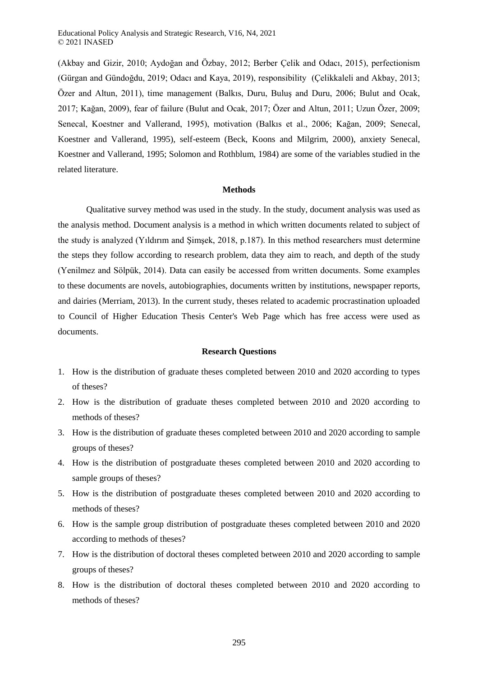(Akbay and Gizir, 2010; Aydoğan and Özbay, 2012; Berber Çelik and Odacı, 2015), perfectionism (Gürgan and Gündoğdu, 2019; Odacı and Kaya, 2019), responsibility (Çelikkaleli and Akbay, 2013; Özer and Altun, 2011), time management (Balkıs, Duru, Buluş and Duru, 2006; Bulut and Ocak, 2017; Kağan, 2009), fear of failure (Bulut and Ocak, 2017; Özer and Altun, 2011; Uzun Özer, 2009; Senecal, Koestner and Vallerand, 1995), motivation (Balkıs et al., 2006; Kağan, 2009; Senecal, Koestner and Vallerand, 1995), self-esteem (Beck, Koons and Milgrim, 2000), anxiety Senecal, Koestner and Vallerand, 1995; Solomon and Rothblum, 1984) are some of the variables studied in the related literature.

#### **Methods**

Qualitative survey method was used in the study. In the study, document analysis was used as the analysis method. Document analysis is a method in which written documents related to subject of the study is analyzed (Yıldırım and Şimşek, 2018, p.187). In this method researchers must determine the steps they follow according to research problem, data they aim to reach, and depth of the study (Yenilmez and Sölpük, 2014). Data can easily be accessed from written documents. Some examples to these documents are novels, autobiographies, documents written by institutions, newspaper reports, and dairies (Merriam, 2013). In the current study, theses related to academic procrastination uploaded to Council of Higher Education Thesis Center's Web Page which has free access were used as documents.

#### **Research Questions**

- 1. How is the distribution of graduate theses completed between 2010 and 2020 according to types of theses?
- 2. How is the distribution of graduate theses completed between 2010 and 2020 according to methods of theses?
- 3. How is the distribution of graduate theses completed between 2010 and 2020 according to sample groups of theses?
- 4. How is the distribution of postgraduate theses completed between 2010 and 2020 according to sample groups of theses?
- 5. How is the distribution of postgraduate theses completed between 2010 and 2020 according to methods of theses?
- 6. How is the sample group distribution of postgraduate theses completed between 2010 and 2020 according to methods of theses?
- 7. How is the distribution of doctoral theses completed between 2010 and 2020 according to sample groups of theses?
- 8. How is the distribution of doctoral theses completed between 2010 and 2020 according to methods of theses?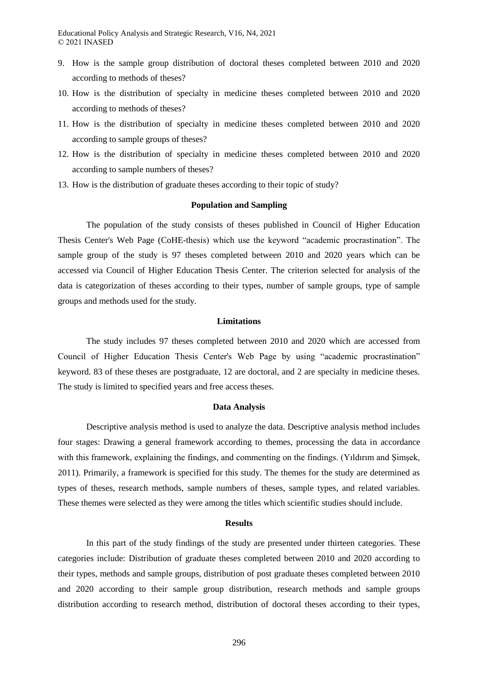- 9. How is the sample group distribution of doctoral theses completed between 2010 and 2020 according to methods of theses?
- 10. How is the distribution of specialty in medicine theses completed between 2010 and 2020 according to methods of theses?
- 11. How is the distribution of specialty in medicine theses completed between 2010 and 2020 according to sample groups of theses?
- 12. How is the distribution of specialty in medicine theses completed between 2010 and 2020 according to sample numbers of theses?
- 13. How is the distribution of graduate theses according to their topic of study?

#### **Population and Sampling**

The population of the study consists of theses published in Council of Higher Education Thesis Center's Web Page (CoHE-thesis) which use the keyword "academic procrastination". The sample group of the study is 97 theses completed between 2010 and 2020 years which can be accessed via Council of Higher Education Thesis Center. The criterion selected for analysis of the data is categorization of theses according to their types, number of sample groups, type of sample groups and methods used for the study.

#### **Limitations**

The study includes 97 theses completed between 2010 and 2020 which are accessed from Council of Higher Education Thesis Center's Web Page by using "academic procrastination" keyword. 83 of these theses are postgraduate, 12 are doctoral, and 2 are specialty in medicine theses. The study is limited to specified years and free access theses.

#### **Data Analysis**

Descriptive analysis method is used to analyze the data. Descriptive analysis method includes four stages: Drawing a general framework according to themes, processing the data in accordance with this framework, explaining the findings, and commenting on the findings. (Yıldırım and Şimşek, 2011). Primarily, a framework is specified for this study. The themes for the study are determined as types of theses, research methods, sample numbers of theses, sample types, and related variables. These themes were selected as they were among the titles which scientific studies should include.

#### **Results**

In this part of the study findings of the study are presented under thirteen categories. These categories include: Distribution of graduate theses completed between 2010 and 2020 according to their types, methods and sample groups, distribution of post graduate theses completed between 2010 and 2020 according to their sample group distribution, research methods and sample groups distribution according to research method, distribution of doctoral theses according to their types,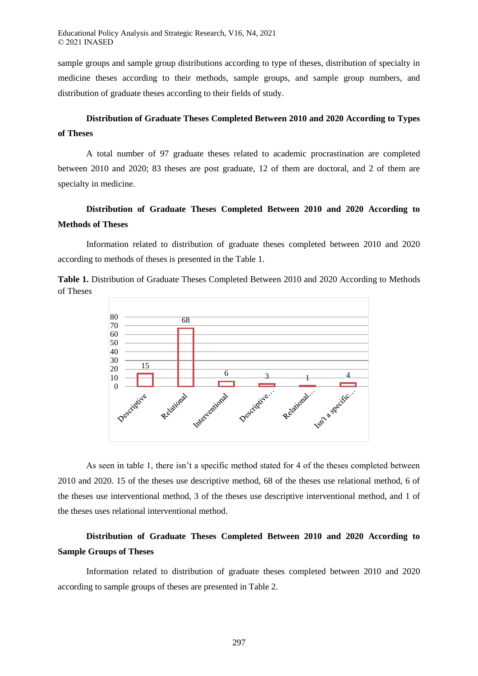sample groups and sample group distributions according to type of theses, distribution of specialty in medicine theses according to their methods, sample groups, and sample group numbers, and distribution of graduate theses according to their fields of study.

### **Distribution of Graduate Theses Completed Between 2010 and 2020 According to Types of Theses**

A total number of 97 graduate theses related to academic procrastination are completed between 2010 and 2020; 83 theses are post graduate, 12 of them are doctoral, and 2 of them are specialty in medicine.

## **Distribution of Graduate Theses Completed Between 2010 and 2020 According to Methods of Theses**

Information related to distribution of graduate theses completed between 2010 and 2020 according to methods of theses is presented in the Table 1.

**Table 1.** Distribution of Graduate Theses Completed Between 2010 and 2020 According to Methods of Theses



As seen in table 1, there isn't a specific method stated for 4 of the theses completed between 2010 and 2020. 15 of the theses use descriptive method, 68 of the theses use relational method, 6 of the theses use interventional method, 3 of the theses use descriptive interventional method, and 1 of the theses uses relational interventional method.

## **Distribution of Graduate Theses Completed Between 2010 and 2020 According to Sample Groups of Theses**

Information related to distribution of graduate theses completed between 2010 and 2020 according to sample groups of theses are presented in Table 2.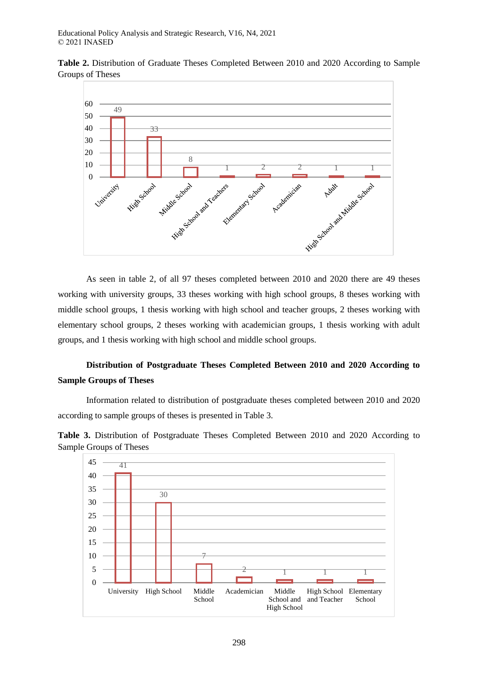**Table 2.** Distribution of Graduate Theses Completed Between 2010 and 2020 According to Sample Groups of Theses



As seen in table 2, of all 97 theses completed between 2010 and 2020 there are 49 theses working with university groups, 33 theses working with high school groups, 8 theses working with middle school groups, 1 thesis working with high school and teacher groups, 2 theses working with elementary school groups, 2 theses working with academician groups, 1 thesis working with adult groups, and 1 thesis working with high school and middle school groups.

# **Distribution of Postgraduate Theses Completed Between 2010 and 2020 According to Sample Groups of Theses**

Information related to distribution of postgraduate theses completed between 2010 and 2020 according to sample groups of theses is presented in Table 3.



**Table 3.** Distribution of Postgraduate Theses Completed Between 2010 and 2020 According to Sample Groups of Theses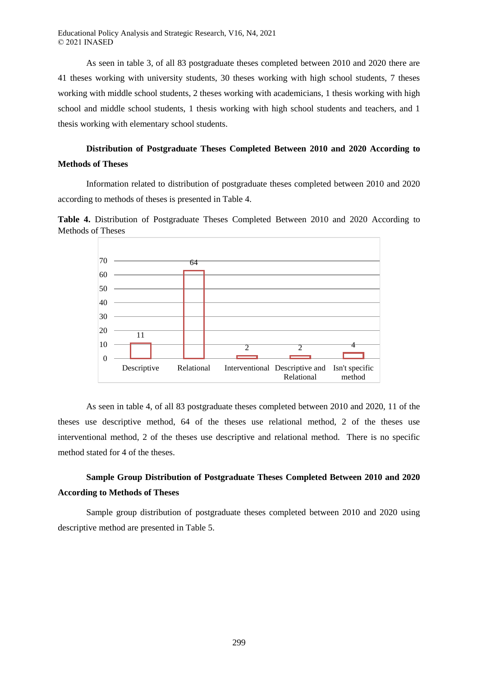As seen in table 3, of all 83 postgraduate theses completed between 2010 and 2020 there are 41 theses working with university students, 30 theses working with high school students, 7 theses working with middle school students, 2 theses working with academicians, 1 thesis working with high school and middle school students, 1 thesis working with high school students and teachers, and 1 thesis working with elementary school students.

### **Distribution of Postgraduate Theses Completed Between 2010 and 2020 According to Methods of Theses**

Information related to distribution of postgraduate theses completed between 2010 and 2020 according to methods of theses is presented in Table 4.

**Table 4.** Distribution of Postgraduate Theses Completed Between 2010 and 2020 According to Methods of Theses



As seen in table 4, of all 83 postgraduate theses completed between 2010 and 2020, 11 of the theses use descriptive method, 64 of the theses use relational method, 2 of the theses use interventional method, 2 of the theses use descriptive and relational method. There is no specific method stated for 4 of the theses.

### **Sample Group Distribution of Postgraduate Theses Completed Between 2010 and 2020 According to Methods of Theses**

Sample group distribution of postgraduate theses completed between 2010 and 2020 using descriptive method are presented in Table 5.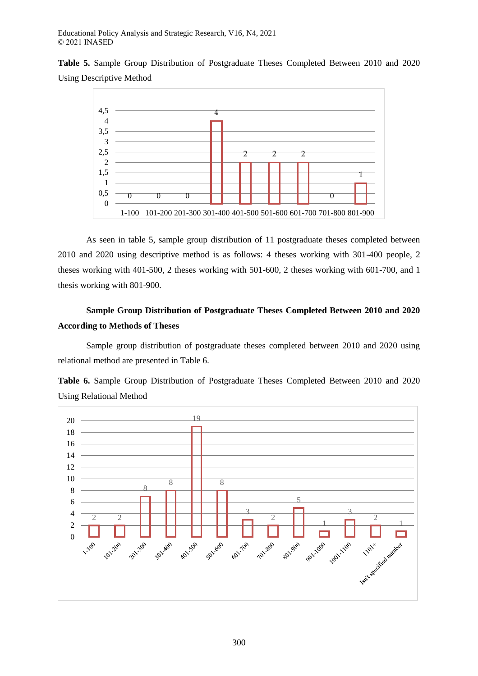**Table 5.** Sample Group Distribution of Postgraduate Theses Completed Between 2010 and 2020 Using Descriptive Method



As seen in table 5, sample group distribution of 11 postgraduate theses completed between 2010 and 2020 using descriptive method is as follows: 4 theses working with 301-400 people, 2 theses working with 401-500, 2 theses working with 501-600, 2 theses working with 601-700, and 1 thesis working with 801-900.

# **Sample Group Distribution of Postgraduate Theses Completed Between 2010 and 2020 According to Methods of Theses**

Sample group distribution of postgraduate theses completed between 2010 and 2020 using relational method are presented in Table 6.



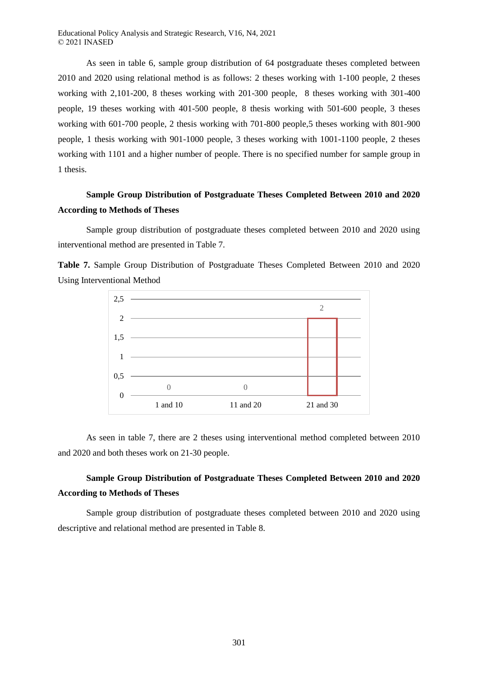As seen in table 6, sample group distribution of 64 postgraduate theses completed between 2010 and 2020 using relational method is as follows: 2 theses working with 1-100 people, 2 theses working with 2,101-200, 8 theses working with 201-300 people, 8 theses working with 301-400 people, 19 theses working with 401-500 people, 8 thesis working with 501-600 people, 3 theses working with 601-700 people, 2 thesis working with 701-800 people,5 theses working with 801-900 people, 1 thesis working with 901-1000 people, 3 theses working with 1001-1100 people, 2 theses working with 1101 and a higher number of people. There is no specified number for sample group in 1 thesis.

# **Sample Group Distribution of Postgraduate Theses Completed Between 2010 and 2020 According to Methods of Theses**

Sample group distribution of postgraduate theses completed between 2010 and 2020 using interventional method are presented in Table 7.

**Table 7.** Sample Group Distribution of Postgraduate Theses Completed Between 2010 and 2020 Using Interventional Method



As seen in table 7, there are 2 theses using interventional method completed between 2010 and 2020 and both theses work on 21-30 people.

## **Sample Group Distribution of Postgraduate Theses Completed Between 2010 and 2020 According to Methods of Theses**

Sample group distribution of postgraduate theses completed between 2010 and 2020 using descriptive and relational method are presented in Table 8.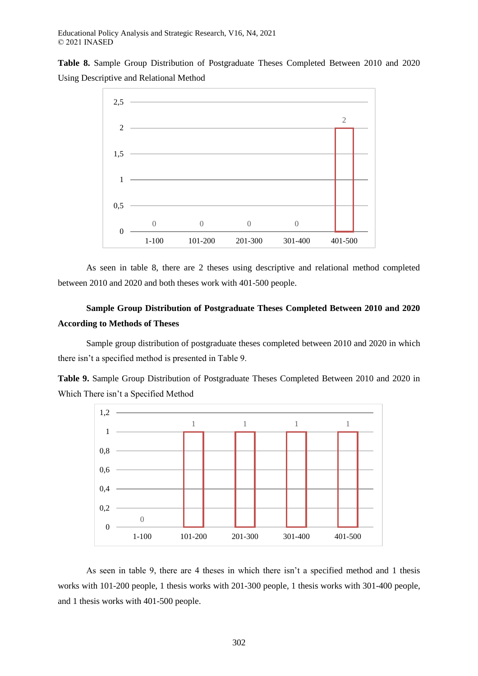**Table 8.** Sample Group Distribution of Postgraduate Theses Completed Between 2010 and 2020 Using Descriptive and Relational Method



As seen in table 8, there are 2 theses using descriptive and relational method completed between 2010 and 2020 and both theses work with 401-500 people.

## **Sample Group Distribution of Postgraduate Theses Completed Between 2010 and 2020 According to Methods of Theses**

Sample group distribution of postgraduate theses completed between 2010 and 2020 in which there isn't a specified method is presented in Table 9.





As seen in table 9, there are 4 theses in which there isn't a specified method and 1 thesis works with 101-200 people, 1 thesis works with 201-300 people, 1 thesis works with 301-400 people, and 1 thesis works with 401-500 people.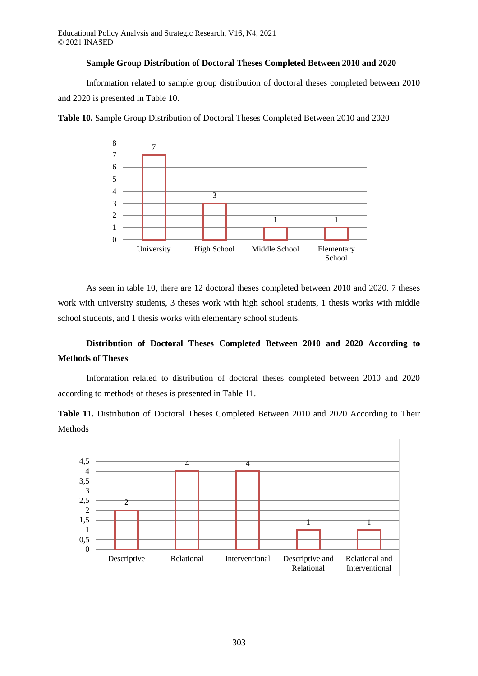#### **Sample Group Distribution of Doctoral Theses Completed Between 2010 and 2020**

Information related to sample group distribution of doctoral theses completed between 2010 and 2020 is presented in Table 10.



**Table 10.** Sample Group Distribution of Doctoral Theses Completed Between 2010 and 2020

As seen in table 10, there are 12 doctoral theses completed between 2010 and 2020. 7 theses work with university students, 3 theses work with high school students, 1 thesis works with middle school students, and 1 thesis works with elementary school students.

## **Distribution of Doctoral Theses Completed Between 2010 and 2020 According to Methods of Theses**

Information related to distribution of doctoral theses completed between 2010 and 2020 according to methods of theses is presented in Table 11.

**Table 11.** Distribution of Doctoral Theses Completed Between 2010 and 2020 According to Their Methods

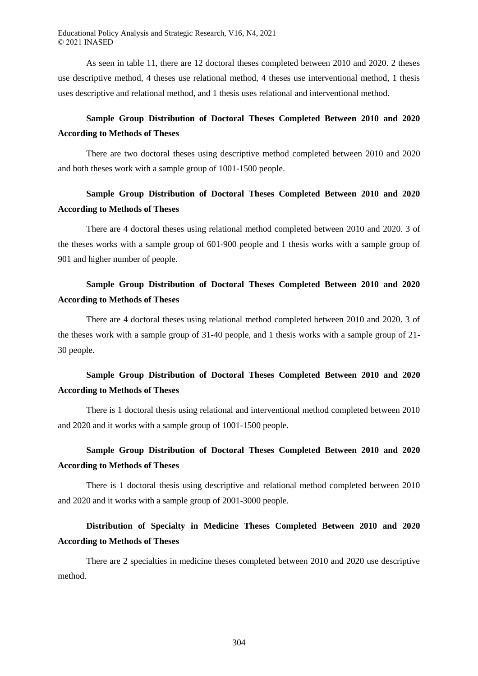As seen in table 11, there are 12 doctoral theses completed between 2010 and 2020. 2 theses use descriptive method, 4 theses use relational method, 4 theses use interventional method, 1 thesis uses descriptive and relational method, and 1 thesis uses relational and interventional method.

### **Sample Group Distribution of Doctoral Theses Completed Between 2010 and 2020 According to Methods of Theses**

There are two doctoral theses using descriptive method completed between 2010 and 2020 and both theses work with a sample group of 1001-1500 people.

### **Sample Group Distribution of Doctoral Theses Completed Between 2010 and 2020 According to Methods of Theses**

There are 4 doctoral theses using relational method completed between 2010 and 2020. 3 of the theses works with a sample group of 601-900 people and 1 thesis works with a sample group of 901 and higher number of people.

## **Sample Group Distribution of Doctoral Theses Completed Between 2010 and 2020 According to Methods of Theses**

There are 4 doctoral theses using relational method completed between 2010 and 2020. 3 of the theses work with a sample group of 31-40 people, and 1 thesis works with a sample group of 21- 30 people.

## **Sample Group Distribution of Doctoral Theses Completed Between 2010 and 2020 According to Methods of Theses**

There is 1 doctoral thesis using relational and interventional method completed between 2010 and 2020 and it works with a sample group of 1001-1500 people.

## **Sample Group Distribution of Doctoral Theses Completed Between 2010 and 2020 According to Methods of Theses**

There is 1 doctoral thesis using descriptive and relational method completed between 2010 and 2020 and it works with a sample group of 2001-3000 people.

# **Distribution of Specialty in Medicine Theses Completed Between 2010 and 2020 According to Methods of Theses**

There are 2 specialties in medicine theses completed between 2010 and 2020 use descriptive method.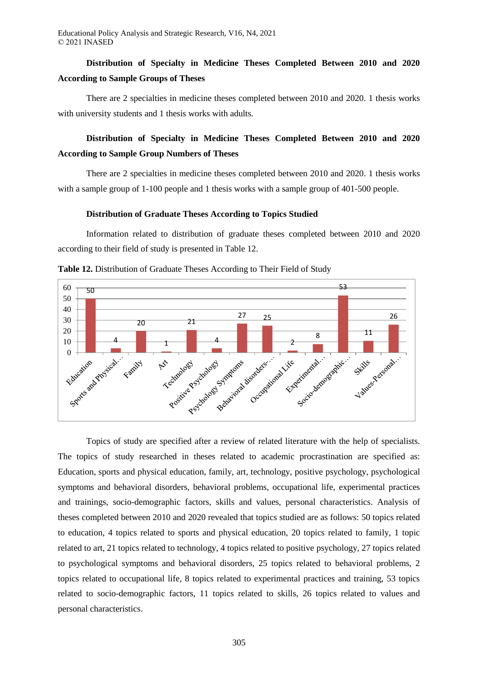## **Distribution of Specialty in Medicine Theses Completed Between 2010 and 2020 According to Sample Groups of Theses**

There are 2 specialties in medicine theses completed between 2010 and 2020. 1 thesis works with university students and 1 thesis works with adults.

## **Distribution of Specialty in Medicine Theses Completed Between 2010 and 2020 According to Sample Group Numbers of Theses**

There are 2 specialties in medicine theses completed between 2010 and 2020. 1 thesis works with a sample group of 1-100 people and 1 thesis works with a sample group of 401-500 people.

#### **Distribution of Graduate Theses According to Topics Studied**

Information related to distribution of graduate theses completed between 2010 and 2020 according to their field of study is presented in Table 12.



**Table 12.** Distribution of Graduate Theses According to Their Field of Study

Topics of study are specified after a review of related literature with the help of specialists. The topics of study researched in theses related to academic procrastination are specified as: Education, sports and physical education, family, art, technology, positive psychology, psychological symptoms and behavioral disorders, behavioral problems, occupational life, experimental practices and trainings, socio-demographic factors, skills and values, personal characteristics. Analysis of theses completed between 2010 and 2020 revealed that topics studied are as follows: 50 topics related to education, 4 topics related to sports and physical education, 20 topics related to family, 1 topic related to art, 21 topics related to technology, 4 topics related to positive psychology, 27 topics related to psychological symptoms and behavioral disorders, 25 topics related to behavioral problems, 2 topics related to occupational life, 8 topics related to experimental practices and training, 53 topics related to socio-demographic factors, 11 topics related to skills, 26 topics related to values and personal characteristics.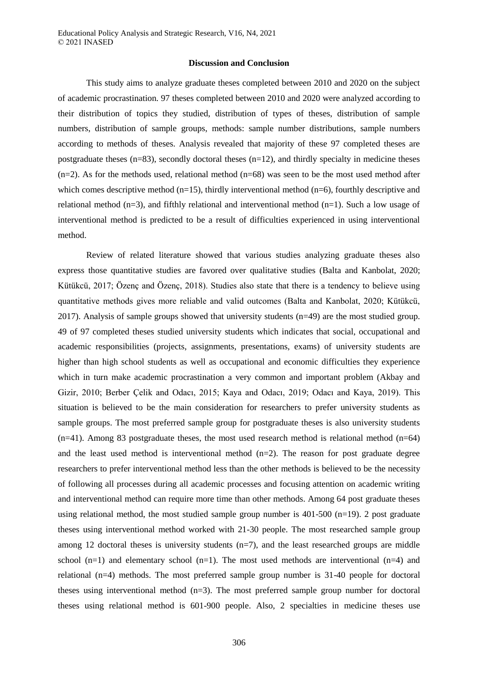#### **Discussion and Conclusion**

This study aims to analyze graduate theses completed between 2010 and 2020 on the subject of academic procrastination. 97 theses completed between 2010 and 2020 were analyzed according to their distribution of topics they studied, distribution of types of theses, distribution of sample numbers, distribution of sample groups, methods: sample number distributions, sample numbers according to methods of theses. Analysis revealed that majority of these 97 completed theses are postgraduate theses  $(n=83)$ , secondly doctoral theses  $(n=12)$ , and thirdly specialty in medicine theses  $(n=2)$ . As for the methods used, relational method  $(n=68)$  was seen to be the most used method after which comes descriptive method ( $n=15$ ), thirdly interventional method ( $n=6$ ), fourthly descriptive and relational method (n=3), and fifthly relational and interventional method (n=1). Such a low usage of interventional method is predicted to be a result of difficulties experienced in using interventional method.

Review of related literature showed that various studies analyzing graduate theses also express those quantitative studies are favored over qualitative studies (Balta and Kanbolat, 2020; Kütükcü, 2017; Özenç and Özenç, 2018). Studies also state that there is a tendency to believe using quantitative methods gives more reliable and valid outcomes (Balta and Kanbolat, 2020; Kütükcü, 2017). Analysis of sample groups showed that university students (n=49) are the most studied group. 49 of 97 completed theses studied university students which indicates that social, occupational and academic responsibilities (projects, assignments, presentations, exams) of university students are higher than high school students as well as occupational and economic difficulties they experience which in turn make academic procrastination a very common and important problem (Akbay and Gizir, 2010; Berber Çelik and Odacı, 2015; Kaya and Odacı, 2019; Odacı and Kaya, 2019). This situation is believed to be the main consideration for researchers to prefer university students as sample groups. The most preferred sample group for postgraduate theses is also university students  $(n=41)$ . Among 83 postgraduate theses, the most used research method is relational method  $(n=64)$ and the least used method is interventional method  $(n=2)$ . The reason for post graduate degree researchers to prefer interventional method less than the other methods is believed to be the necessity of following all processes during all academic processes and focusing attention on academic writing and interventional method can require more time than other methods. Among 64 post graduate theses using relational method, the most studied sample group number is  $401-500$  (n=19). 2 post graduate theses using interventional method worked with 21-30 people. The most researched sample group among 12 doctoral theses is university students  $(n=7)$ , and the least researched groups are middle school  $(n=1)$  and elementary school  $(n=1)$ . The most used methods are interventional  $(n=4)$  and relational (n=4) methods. The most preferred sample group number is 31-40 people for doctoral theses using interventional method  $(n=3)$ . The most preferred sample group number for doctoral theses using relational method is 601-900 people. Also, 2 specialties in medicine theses use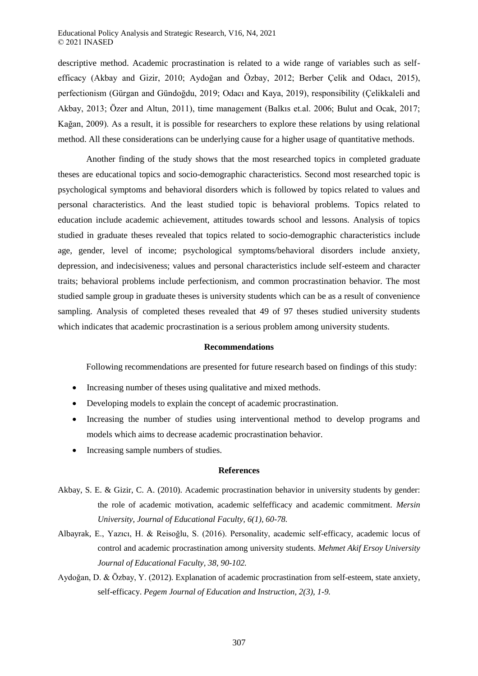descriptive method. Academic procrastination is related to a wide range of variables such as selfefficacy (Akbay and Gizir, 2010; Aydoğan and Özbay, 2012; Berber Çelik and Odacı, 2015), perfectionism (Gürgan and Gündoğdu, 2019; Odacı and Kaya, 2019), responsibility (Çelikkaleli and Akbay, 2013; Özer and Altun, 2011), time management (Balkıs et.al. 2006; Bulut and Ocak, 2017; Kağan, 2009). As a result, it is possible for researchers to explore these relations by using relational method. All these considerations can be underlying cause for a higher usage of quantitative methods.

Another finding of the study shows that the most researched topics in completed graduate theses are educational topics and socio-demographic characteristics. Second most researched topic is psychological symptoms and behavioral disorders which is followed by topics related to values and personal characteristics. And the least studied topic is behavioral problems. Topics related to education include academic achievement, attitudes towards school and lessons. Analysis of topics studied in graduate theses revealed that topics related to socio-demographic characteristics include age, gender, level of income; psychological symptoms/behavioral disorders include anxiety, depression, and indecisiveness; values and personal characteristics include self-esteem and character traits; behavioral problems include perfectionism, and common procrastination behavior. The most studied sample group in graduate theses is university students which can be as a result of convenience sampling. Analysis of completed theses revealed that 49 of 97 theses studied university students which indicates that academic procrastination is a serious problem among university students.

#### **Recommendations**

Following recommendations are presented for future research based on findings of this study:

- Increasing number of theses using qualitative and mixed methods.
- Developing models to explain the concept of academic procrastination.
- Increasing the number of studies using interventional method to develop programs and models which aims to decrease academic procrastination behavior.
- Increasing sample numbers of studies.

#### **References**

- Akbay, S. E. & Gizir, C. A. (2010). Academic procrastination behavior in university students by gender: the role of academic motivation, academic selfefficacy and academic commitment. *Mersin University, Journal of Educational Faculty, 6(1), 60-78.*
- Albayrak, E., Yazıcı, H. & Reisoğlu, S. (2016). Personality, academic self-efficacy, academic locus of control and academic procrastination among university students. *Mehmet Akif Ersoy University Journal of Educational Faculty, 38, 90-102.*
- Aydoğan, D. & Özbay, Y. (2012). Explanation of academic procrastination from self-esteem, state anxiety, self-efficacy. *Pegem Journal of Education and Instruction, 2(3), 1-9.*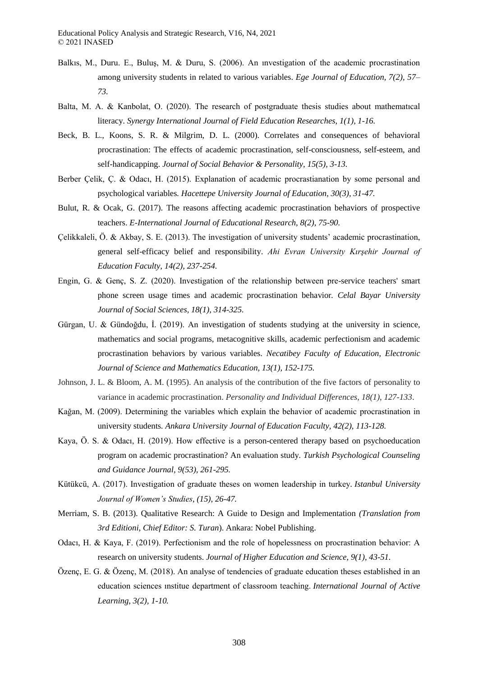- Balkıs, M., Duru. E., Buluş, M. & Duru, S. (2006). An ınvestigation of the academic procrastination among university students in related to various variables. *Ege Journal of Education, 7(2), 57– 73.*
- Balta, M. A. & Kanbolat, O. (2020). The research of postgraduate thesis studies about mathematıcal literacy. *Synergy International Journal of Field Education Researches*, *1(1), 1-16.*
- Beck, B. L., Koons, S. R. & Milgrim, D. L. (2000). Correlates and consequences of behavioral procrastination: The effects of academic procrastination, self-consciousness, self-esteem, and self-handicapping. *Journal of Social Behavior & Personality, 15(5), 3-13.*
- Berber Çelik, Ç. & Odacı, H. (2015). Explanation of academic procrastianation by some personal and psychological variables*. Hacettepe University Journal of Education, 30(3), 31-47.*
- Bulut, R. & Ocak, G. (2017). The reasons affecting academic procrastination behaviors of prospective teachers. *E-International Journal of Educational Research, 8(2), 75-90.*
- Çelikkaleli, Ö. & Akbay, S. E. (2013). The investigation of university students' academic procrastination, general self-efficacy belief and responsibility. *Ahi Evran University Kırşehir Journal of Education Faculty, 14(2), 237-254.*
- Engin, G. & Genç, S. Z. (2020). Investigation of the relationship between pre-service teachers' smart phone screen usage times and academic procrastination behavior*. Celal Bayar University Journal of Social Sciences, 18(1), 314-325.*
- Gürgan, U. & Gündoğdu, İ. (2019). An investigation of students studying at the university in science, mathematics and social programs, metacognitive skills, academic perfectionism and academic procrastination behaviors by various variables. *Necatibey Faculty of Education, Electronic Journal of Science and Mathematics Education, 13(1), 152-175.*
- Johnson, J. L. & Bloom, A. M. (1995). An analysis of the contribution of the five factors of personality to variance in academic procrastination. *Personality and Individual Differences*, *18(1)*, *127-133*.
- Kağan, M. (2009). Determining the variables which explain the behavior of academic procrastination in university students*. Ankara University Journal of Education Faculty, 42(2), 113-128.*
- Kaya, Ö. S. & Odacı, H. (2019). How effective is a person-centered therapy based on psychoeducation program on academic procrastination? An evaluation study*. Turkish Psychological Counseling and Guidance Journal, 9(53), 261-295.*
- Kütükcü, A. (2017). Investigation of graduate theses on women leadership in turkey*. Istanbul University Journal of Women's Studies*, *(15), 26-47.*
- Merriam, S. B. (2013). Qualitative Research: A Guide to Design and Implementation *(Translation from 3rd Editioni, Chief Editor: S. Turan*). Ankara: Nobel Publishing.
- Odacı, H. & Kaya, F. (2019). Perfectionism and the role of hopelessness on procrastination behavior: A research on university students. *Journal of Higher Education and Science, 9(1), 43-51.*
- Özenç, E. G. & Özenç, M. (2018). An analyse of tendencies of graduate education theses established in an education sciences ınstitue department of classroom teaching. *International Journal of Active Learning*, *3(2), 1-10.*